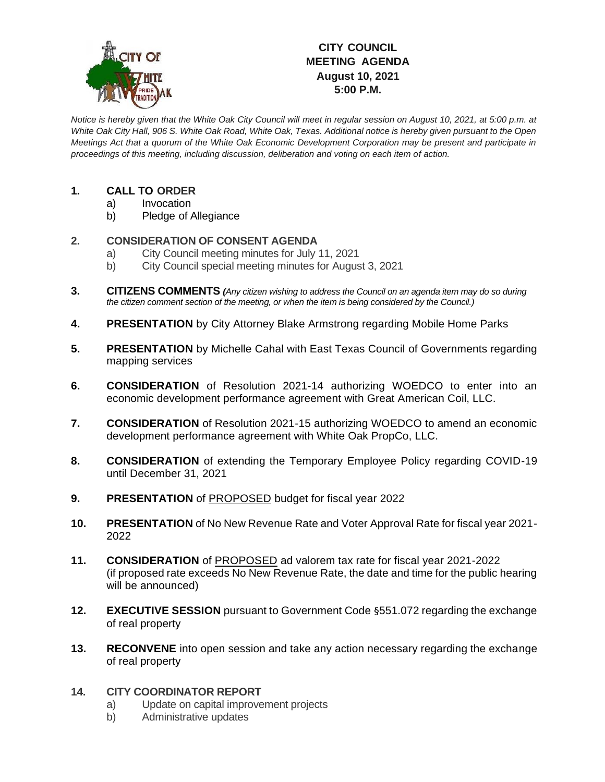

# **CITY COUNCIL MEETING AGENDA August 10, 2021 5:00 P.M.**

*Notice is hereby given that the White Oak City Council will meet in regular session on August 10, 2021, at 5:00 p.m. at White Oak City Hall, 906 S. White Oak Road, White Oak, Texas. Additional notice is hereby given pursuant to the Open Meetings Act that a quorum of the White Oak Economic Development Corporation may be present and participate in proceedings of this meeting, including discussion, deliberation and voting on each item of action.*

## **1. CALL TO ORDER**

- a) Invocation
- b) Pledge of Allegiance

### **2. CONSIDERATION OF CONSENT AGENDA**

- a) City Council meeting minutes for July 11, 2021
- b) City Council special meeting minutes for August 3, 2021
- **3. CITIZENS COMMENTS** *(Any citizen wishing to address the Council on an agenda item may do so during the citizen comment section of the meeting, or when the item is being considered by the Council.)*
- **4. PRESENTATION** by City Attorney Blake Armstrong regarding Mobile Home Parks
- **5. PRESENTATION** by Michelle Cahal with East Texas Council of Governments regarding mapping services
- **6. CONSIDERATION** of Resolution 2021-14 authorizing WOEDCO to enter into an economic development performance agreement with Great American Coil, LLC.
- **7. CONSIDERATION** of Resolution 2021-15 authorizing WOEDCO to amend an economic development performance agreement with White Oak PropCo, LLC.
- **8. CONSIDERATION** of extending the Temporary Employee Policy regarding COVID-19 until December 31, 2021
- **9. PRESENTATION** of PROPOSED budget for fiscal year 2022
- **10. PRESENTATION** of No New Revenue Rate and Voter Approval Rate for fiscal year 2021- 2022
- **11. CONSIDERATION** of PROPOSED ad valorem tax rate for fiscal year 2021-2022 (if proposed rate exceeds No New Revenue Rate, the date and time for the public hearing will be announced)
- **12. EXECUTIVE SESSION** pursuant to Government Code §551.072 regarding the exchange of real property
- **13. RECONVENE** into open session and take any action necessary regarding the exchange of real property

#### **14. CITY COORDINATOR REPORT**

- a) Update on capital improvement projects
- b) Administrative updates